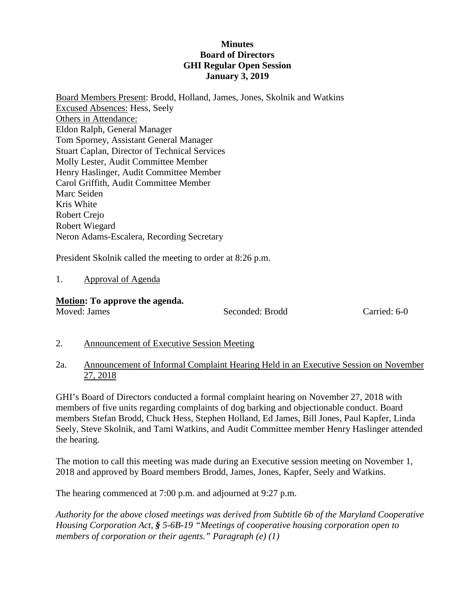### **Minutes Board of Directors GHI Regular Open Session January 3, 2019**

Board Members Present: Brodd, Holland, James, Jones, Skolnik and Watkins Excused Absences: Hess, Seely Others in Attendance: Eldon Ralph, General Manager Tom Sporney, Assistant General Manager Stuart Caplan, Director of Technical Services Molly Lester, Audit Committee Member Henry Haslinger, Audit Committee Member Carol Griffith, Audit Committee Member Marc Seiden Kris White Robert Crejo Robert Wiegard Neron Adams-Escalera, Recording Secretary

President Skolnik called the meeting to order at 8:26 p.m.

## 1. Approval of Agenda

### **Motion: To approve the agenda.**

Moved: James Seconded: Brodd Carried: 6-0

## 2. Announcement of Executive Session Meeting

2a. Announcement of Informal Complaint Hearing Held in an Executive Session on November 27, 2018

GHI's Board of Directors conducted a formal complaint hearing on November 27, 2018 with members of five units regarding complaints of dog barking and objectionable conduct. Board members Stefan Brodd, Chuck Hess, Stephen Holland, Ed James, Bill Jones, Paul Kapfer, Linda Seely, Steve Skolnik, and Tami Watkins, and Audit Committee member Henry Haslinger attended the hearing.

The motion to call this meeting was made during an Executive session meeting on November 1, 2018 and approved by Board members Brodd, James, Jones, Kapfer, Seely and Watkins.

The hearing commenced at 7:00 p.m. and adjourned at 9:27 p.m.

*Authority for the above closed meetings was derived from Subtitle 6b of the Maryland Cooperative Housing Corporation Act, § 5-6B-19 "Meetings of cooperative housing corporation open to members of corporation or their agents." Paragraph (e) (1)*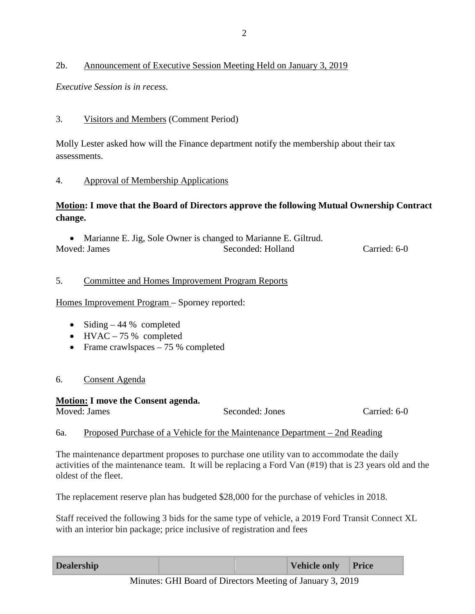## 2b. Announcement of Executive Session Meeting Held on January 3, 2019

*Executive Session is in recess.*

# 3. Visitors and Members (Comment Period)

Molly Lester asked how will the Finance department notify the membership about their tax assessments.

## 4. Approval of Membership Applications

## **Motion: I move that the Board of Directors approve the following Mutual Ownership Contract change.**

• Marianne E. Jig, Sole Owner is changed to Marianne E. Giltrud. Moved: James Seconded: Holland Carried: 6-0

## 5. Committee and Homes Improvement Program Reports

Homes Improvement Program – Sporney reported:

- Siding  $-44%$  completed
- HVAC  $-75%$  completed
- Frame crawlspaces 75 % completed

## 6. Consent Agenda

# **Motion: I move the Consent agenda.** Seconded: Jones Carried: 6-0

# 6a. Proposed Purchase of a Vehicle for the Maintenance Department – 2nd Reading

The maintenance department proposes to purchase one utility van to accommodate the daily activities of the maintenance team. It will be replacing a Ford Van (#19) that is 23 years old and the oldest of the fleet.

The replacement reserve plan has budgeted \$28,000 for the purchase of vehicles in 2018.

Staff received the following 3 bids for the same type of vehicle, a 2019 Ford Transit Connect XL with an interior bin package; price inclusive of registration and fees

| <b>Dealership</b> |                             |  |  | Vehicle only Price |                      |  |
|-------------------|-----------------------------|--|--|--------------------|----------------------|--|
|                   | $\sim$ $\sim$ $\sim$ $\sim$ |  |  |                    | $\sim$ $\sim$ $\sim$ |  |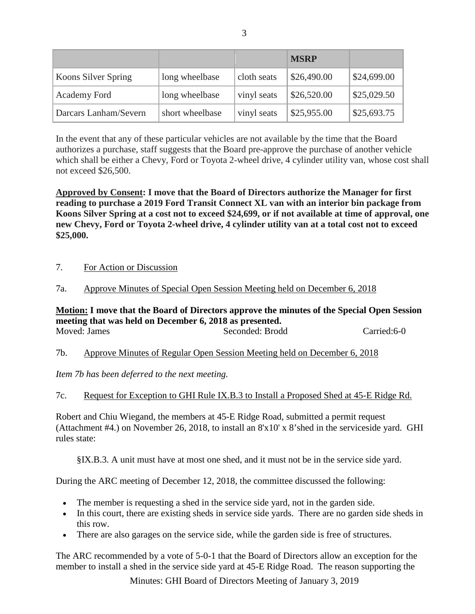|                       |                 |             | <b>MSRP</b> |             |
|-----------------------|-----------------|-------------|-------------|-------------|
| Koons Silver Spring   | long wheelbase  | cloth seats | \$26,490.00 | \$24,699.00 |
| Academy Ford          | long wheelbase  | vinyl seats | \$26,520.00 | \$25,029.50 |
| Darcars Lanham/Severn | short wheelbase | vinyl seats | \$25,955.00 | \$25,693.75 |

In the event that any of these particular vehicles are not available by the time that the Board authorizes a purchase, staff suggests that the Board pre-approve the purchase of another vehicle which shall be either a Chevy, Ford or Toyota 2-wheel drive, 4 cylinder utility van, whose cost shall not exceed \$26,500.

**Approved by Consent: I move that the Board of Directors authorize the Manager for first reading to purchase a 2019 Ford Transit Connect XL van with an interior bin package from Koons Silver Spring at a cost not to exceed \$24,699, or if not available at time of approval, one new Chevy, Ford or Toyota 2-wheel drive, 4 cylinder utility van at a total cost not to exceed \$25,000.**

- 7. For Action or Discussion
- 7a. Approve Minutes of Special Open Session Meeting held on December 6, 2018

#### **Motion: I move that the Board of Directors approve the minutes of the Special Open Session meeting that was held on December 6, 2018 as presented.** Moved: James Seconded: Brodd Carried:6-0

7b. Approve Minutes of Regular Open Session Meeting held on December 6, 2018

*Item 7b has been deferred to the next meeting.*

```
7c. Request for Exception to GHI Rule IX.B.3 to Install a Proposed Shed at 45-E Ridge Rd.
```
Robert and Chiu Wiegand, the members at 45-E Ridge Road, submitted a permit request (Attachment #4.) on November 26, 2018, to install an 8'x10' x 8'shed in the serviceside yard. GHI rules state:

§IX.B.3. A unit must have at most one shed, and it must not be in the service side yard.

During the ARC meeting of December 12, 2018, the committee discussed the following:

- The member is requesting a shed in the service side yard, not in the garden side.
- In this court, there are existing sheds in service side yards. There are no garden side sheds in this row.
- There are also garages on the service side, while the garden side is free of structures.

The ARC recommended by a vote of 5-0-1 that the Board of Directors allow an exception for the member to install a shed in the service side yard at 45-E Ridge Road. The reason supporting the

Minutes: GHI Board of Directors Meeting of January 3, 2019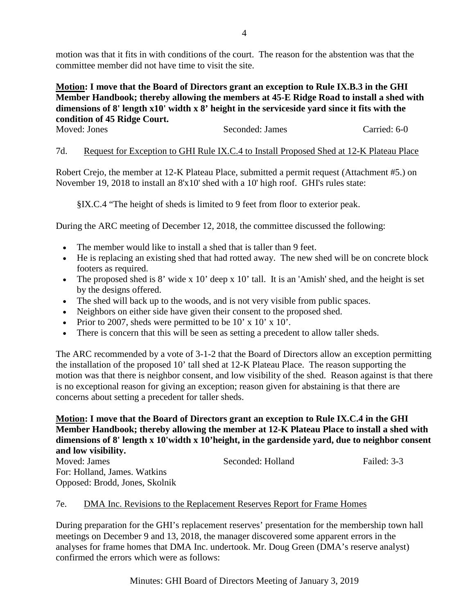motion was that it fits in with conditions of the court. The reason for the abstention was that the committee member did not have time to visit the site.

## **Motion: I move that the Board of Directors grant an exception to Rule IX.B.3 in the GHI Member Handbook; thereby allowing the members at 45-E Ridge Road to install a shed with dimensions of 8' length x10' width x 8' height in the serviceside yard since it fits with the condition of 45 Ridge Court.**

### Moved: Jones Seconded: James Carried: 6-0

## 7d. Request for Exception to GHI Rule IX.C.4 to Install Proposed Shed at 12-K Plateau Place

Robert Crejo, the member at 12-K Plateau Place, submitted a permit request (Attachment #5.) on November 19, 2018 to install an 8'x10' shed with a 10' high roof. GHI's rules state:

§IX.C.4 "The height of sheds is limited to 9 feet from floor to exterior peak.

During the ARC meeting of December 12, 2018, the committee discussed the following:

- The member would like to install a shed that is taller than 9 feet.
- He is replacing an existing shed that had rotted away. The new shed will be on concrete block footers as required.
- The proposed shed is 8' wide x 10' deep x 10' tall. It is an 'Amish' shed, and the height is set by the designs offered.
- The shed will back up to the woods, and is not very visible from public spaces.
- Neighbors on either side have given their consent to the proposed shed.
- Prior to 2007, sheds were permitted to be  $10' \times 10' \times 10'$ .
- There is concern that this will be seen as setting a precedent to allow taller sheds.

The ARC recommended by a vote of 3-1-2 that the Board of Directors allow an exception permitting the installation of the proposed 10' tall shed at 12-K Plateau Place. The reason supporting the motion was that there is neighbor consent, and low visibility of the shed. Reason against is that there is no exceptional reason for giving an exception; reason given for abstaining is that there are concerns about setting a precedent for taller sheds.

# **Motion: I move that the Board of Directors grant an exception to Rule IX.C.4 in the GHI Member Handbook; thereby allowing the member at 12-K Plateau Place to install a shed with dimensions of 8' length x 10'width x 10'height, in the gardenside yard, due to neighbor consent and low visibility.**

Seconded: Holland Failed: 3-3 For: Holland, James. Watkins Opposed: Brodd, Jones, Skolnik

### 7e. DMA Inc. Revisions to the Replacement Reserves Report for Frame Homes

During preparation for the GHI's replacement reserves' presentation for the membership town hall meetings on December 9 and 13, 2018, the manager discovered some apparent errors in the analyses for frame homes that DMA Inc. undertook. Mr. Doug Green (DMA's reserve analyst) confirmed the errors which were as follows: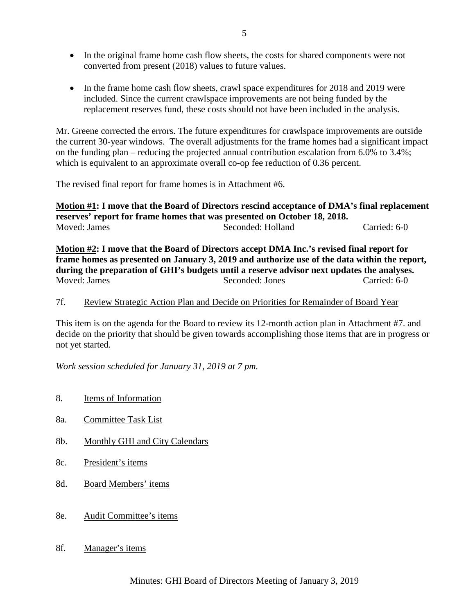- In the original frame home cash flow sheets, the costs for shared components were not converted from present (2018) values to future values.
- In the frame home cash flow sheets, crawl space expenditures for 2018 and 2019 were included. Since the current crawlspace improvements are not being funded by the replacement reserves fund, these costs should not have been included in the analysis.

Mr. Greene corrected the errors. The future expenditures for crawlspace improvements are outside the current 30-year windows. The overall adjustments for the frame homes had a significant impact on the funding plan – reducing the projected annual contribution escalation from 6.0% to 3.4%; which is equivalent to an approximate overall co-op fee reduction of 0.36 percent.

The revised final report for frame homes is in Attachment #6.

**Motion #1: I move that the Board of Directors rescind acceptance of DMA's final replacement reserves' report for frame homes that was presented on October 18, 2018.** Moved: James Seconded: Holland Carried: 6-0

**Motion #2: I move that the Board of Directors accept DMA Inc.'s revised final report for frame homes as presented on January 3, 2019 and authorize use of the data within the report, during the preparation of GHI's budgets until a reserve advisor next updates the analyses.** Moved: James Seconded: Jones Carried: 6-0

### 7f. Review Strategic Action Plan and Decide on Priorities for Remainder of Board Year

This item is on the agenda for the Board to review its 12-month action plan in Attachment #7. and decide on the priority that should be given towards accomplishing those items that are in progress or not yet started.

*Work session scheduled for January 31, 2019 at 7 pm.*

- 8. Items of Information
- 8a. Committee Task List
- 8b. Monthly GHI and City Calendars
- 8c. President's items
- 8d. Board Members' items
- 8e. Audit Committee's items
- 8f. Manager's items